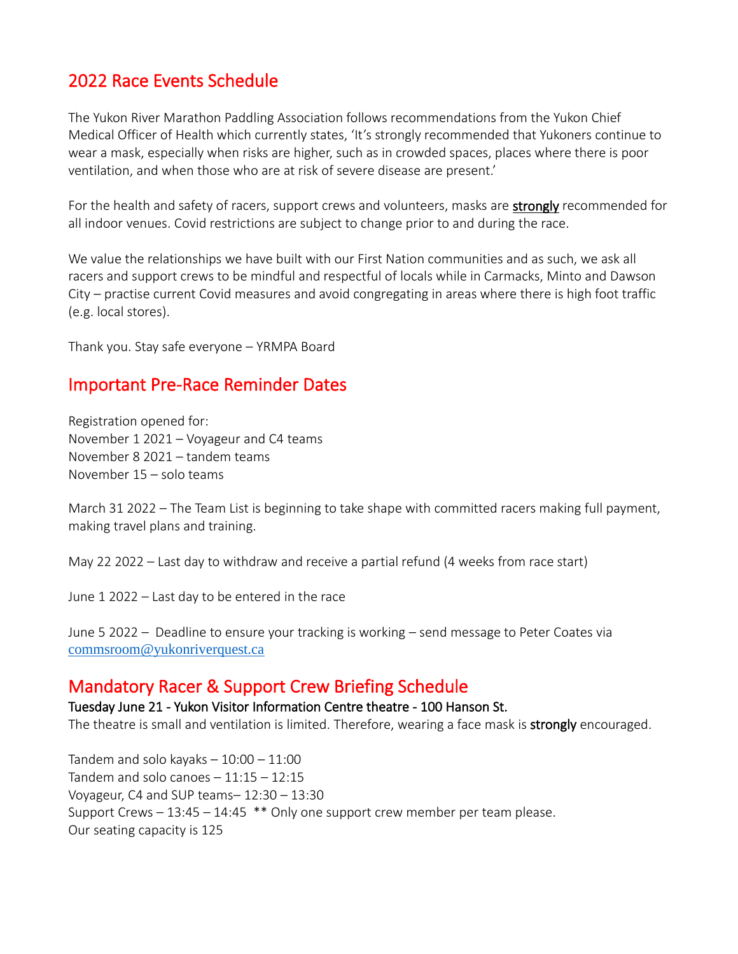# 2022 Race Events Schedule

The Yukon River Marathon Paddling Association follows recommendations from the Yukon Chief Medical Officer of Health which currently states, 'It's strongly recommended that Yukoners continue to wear a mask, especially when risks are higher, such as in crowded spaces, places where there is poor ventilation, and when those who are at risk of severe disease are present.'

For the health and safety of racers, support crews and volunteers, masks are **strongly** recommended for all indoor venues. Covid restrictions are subject to change prior to and during the race.

We value the relationships we have built with our First Nation communities and as such, we ask all racers and support crews to be mindful and respectful of locals while in Carmacks, Minto and Dawson City – practise current Covid measures and avoid congregating in areas where there is high foot traffic (e.g. local stores).

Thank you. Stay safe everyone – YRMPA Board

### Important Pre-Race Reminder Dates

Registration opened for: November 1 2021 – Voyageur and C4 teams November 8 2021 – tandem teams November 15 – solo teams

March 31 2022 – The Team List is beginning to take shape with committed racers making full payment, making travel plans and training.

May 22 2022 – Last day to withdraw and receive a partial refund (4 weeks from race start)

June 1 2022 – Last day to be entered in the race

June 5 2022 – Deadline to ensure your tracking is working – send message to Peter Coates via [commsroom@yukonriverquest.ca](mailto:commsroom@yukonriverquest.ca)

### Mandatory Racer & Support Crew Briefing Schedule

#### Tuesday June 21 - Yukon Visitor Information Centre theatre - 100 Hanson St.

The theatre is small and ventilation is limited. Therefore, wearing a face mask is strongly encouraged.

Tandem and solo kayaks  $-10:00 - 11:00$ Tandem and solo canoes  $-11:15 - 12:15$ Voyageur, C4 and SUP teams– 12:30 – 13:30 Support Crews – 13:45 – 14:45 \*\* Only one support crew member per team please. Our seating capacity is 125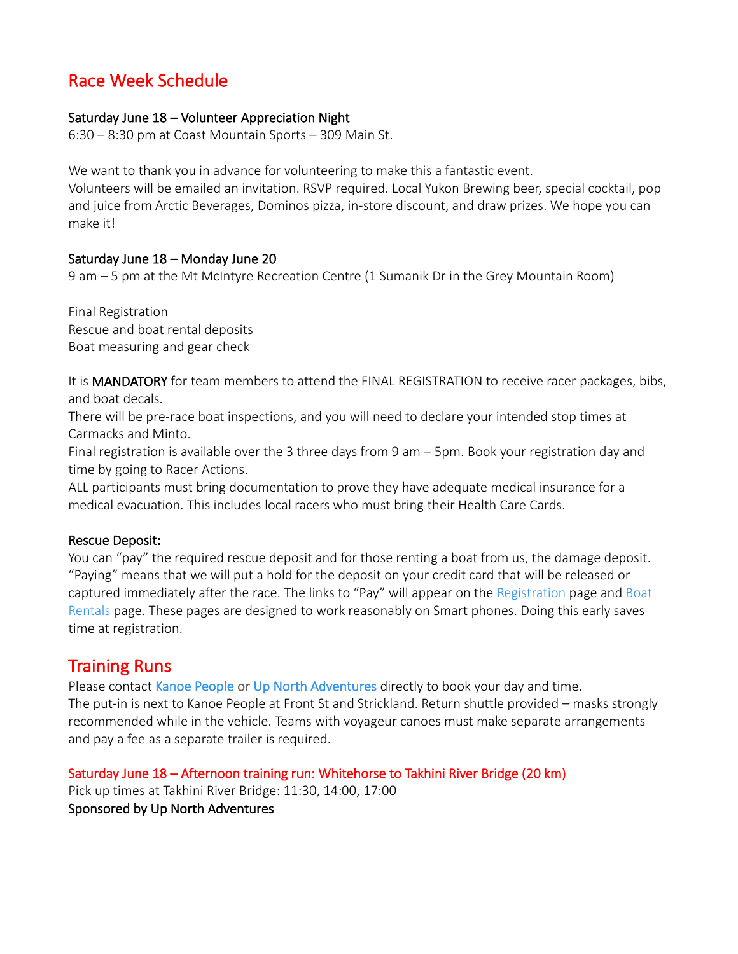## Race Week Schedule

#### Saturday June 18 – Volunteer Appreciation Night

6:30 – 8:30 pm at Coast Mountain Sports – 309 Main St.

We want to thank you in advance for volunteering to make this a fantastic event.

Volunteers will be emailed an invitation. RSVP required. Local Yukon Brewing beer, special cocktail, pop and juice from Arctic Beverages, Dominos pizza, in-store discount, and draw prizes. We hope you can make it!

### Saturday June 18 – Monday June 20

9 am – 5 pm at the Mt McIntyre Recreation Centre (1 Sumanik Dr in the Grey Mountain Room)

Final Registration Rescue and boat rental deposits Boat measuring and gear check

It is **MANDATORY** for team members to attend the FINAL REGISTRATION to receive racer packages, bibs, and boat decals.

There will be pre-race boat inspections, and you will need to declare your intended stop times at Carmacks and Minto.

Final registration is available over the 3 three days from 9 am – 5pm. Book your registration day and time by going to [Racer Actions.](https://yukonriverquest.ca/yrq/app/entry8/user.php?race=22yrq)

ALL participants must bring documentation to prove they have adequate medical insurance for a medical evacuation. This includes local racers who must bring their Health Care Cards.

#### Rescue Deposit:

You can "pay" the required rescue deposit and for those renting a boat from us, the damage deposit. "Paying" means that we will put a hold for the deposit on your credit card that will be released or captured immediately after the race. The links to "Pay" will appear on the [Registration](https://yukonriverquest.ca/yrq/app/entry8/register.php) page and [Boat](https://yukonriverquest.ca/yrq/app/entry8/boatRentalLogin.php)  [Rentals](https://yukonriverquest.ca/yrq/app/entry8/boatRentalLogin.php) page. These pages are designed to work reasonably on Smart phones. Doing this early saves time at registration.

### Training Runs

Please contact [Kanoe People](https://www.kanoepeople.com/) or [Up North Adventures](https://upnorthadventures.com/) directly to book your day and time. The put-in is next to Kanoe People at Front St and Strickland. Return shuttle provided – masks strongly recommended while in the vehicle. Teams with voyageur canoes must make separate arrangements and pay a fee as a separate trailer is required.

Saturday June 18 – Afternoon training run: Whitehorse to Takhini River Bridge (20 km) Pick up times at Takhini River Bridge: 11:30, 14:00, 17:00 Sponsored by [Up North Adventures](https://upnorthadventures.com/)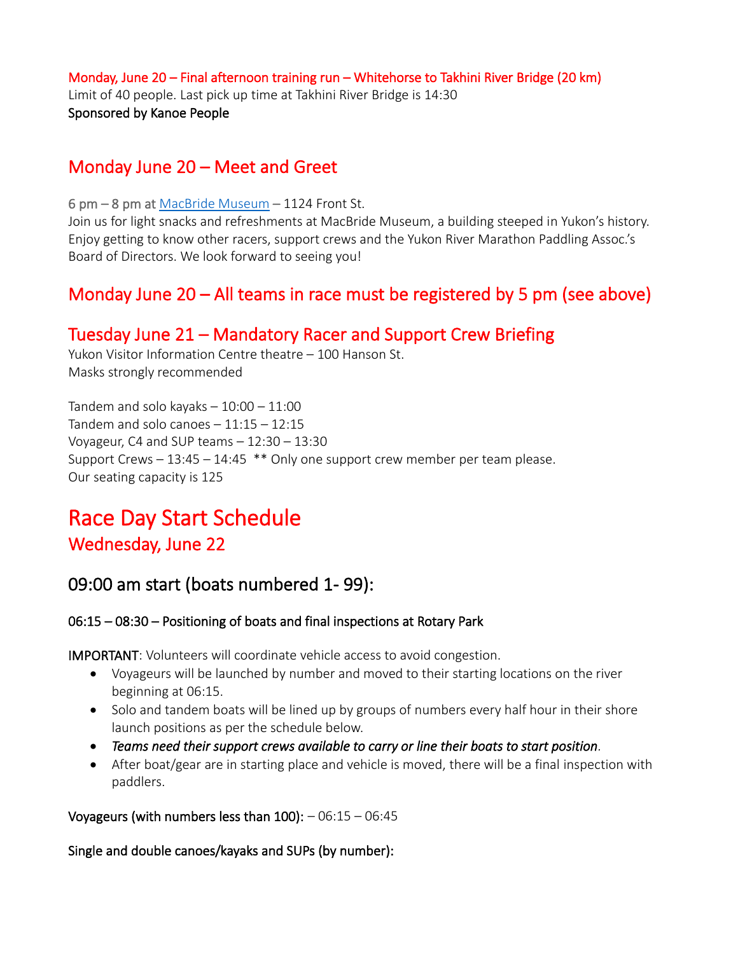### Monday, June 20 – Final afternoon training run – Whitehorse to Takhini River Bridge (20 km) Limit of 40 people. Last pick up time at Takhini River Bridge is 14:30 Sponsored by [Kanoe People](https://www.kanoepeople.com/)

## Monday June 20 – Meet and Greet

6 pm – 8 pm at [MacBride Museum](https://macbridemuseum.com/) – 1124 Front St.

Join us for light snacks and refreshments at MacBride Museum, a building steeped in Yukon's history. Enjoy getting to know other racers, support crews and the Yukon River Marathon Paddling Assoc.'s Board of Directors. We look forward to seeing you!

# Monday June 20 – All teams in race must be registered by 5 pm (see above)

## Tuesday June 21 – Mandatory Racer and Support Crew Briefing

Yukon Visitor Information Centre theatre – 100 Hanson St. Masks strongly recommended

Tandem and solo kayaks  $-10:00 - 11:00$ Tandem and solo canoes  $-11:15 - 12:15$ Voyageur, C4 and SUP teams  $-12:30-13:30$ Support Crews  $-13:45 - 14:45$  \*\* Only one support crew member per team please. Our seating capacity is 125

# Race Day Start Schedule

### Wednesday, June 22

## 09:00 am start (boats numbered 1- 99):

### 06:15 – 08:30 – Positioning of boats and final inspections at Rotary Park

IMPORTANT: Volunteers will coordinate vehicle access to avoid congestion.

- Voyageurs will be launched by number and moved to their starting locations on the river beginning at 06:15.
- Solo and tandem boats will be lined up by groups of numbers every half hour in their shore launch positions as per the schedule below.
- *Teams need their support crews available to carry or line their boats to start position.*
- After boat/gear are in starting place and vehicle is moved, there will be a final inspection with paddlers.

Voyageurs (with numbers less than  $100$ ):  $-06:15 - 06:45$ 

Single and double canoes/kayaks and SUPs (by number):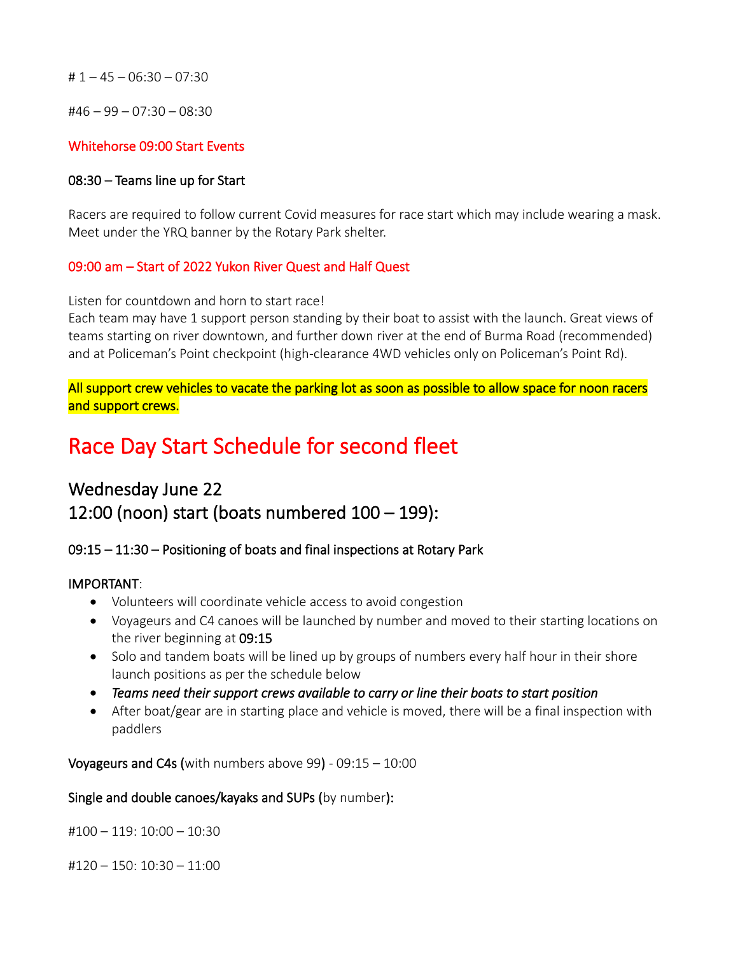# 1 – 45 – 06:30 – 07:30

#46 – 99 – 07:30 – 08:30

#### Whitehorse 09:00 Start Events

#### 08:30 – Teams line up for Start

Racers are required to follow current Covid measures for race start which may include wearing a mask. Meet under the YRQ banner by the Rotary Park shelter.

#### 09:00 am – Start of 2022 Yukon River Quest and Half Quest

Listen for countdown and horn to start race!

Each team may have 1 support person standing by their boat to assist with the launch. Great views of teams starting on river downtown, and further down river at the end of Burma Road (recommended) and at Policeman's Point checkpoint (high-clearance 4WD vehicles only on Policeman's Point Rd).

All support crew vehicles to vacate the parking lot as soon as possible to allow space for noon racers and support crews.

# Race Day Start Schedule for second fleet

# Wednesday June 22 12:00 (noon) start (boats numbered 100 – 199):

#### 09:15 – 11:30 – Positioning of boats and final inspections at Rotary Park

#### IMPORTANT:

- Volunteers will coordinate vehicle access to avoid congestion
- Voyageurs and C4 canoes will be launched by number and moved to their starting locations on the river beginning at 09:15
- Solo and tandem boats will be lined up by groups of numbers every half hour in their shore launch positions as per the schedule below
- *Teams need their support crews available to carry or line their boats to start position*
- After boat/gear are in starting place and vehicle is moved, there will be a final inspection with paddlers

Voyageurs and C4s (with numbers above 99) -  $09:15 - 10:00$ 

#### Single and double canoes/kayaks and SUPs (by number):

#100 – 119: 10:00 – 10:30

#120 – 150: 10:30 – 11:00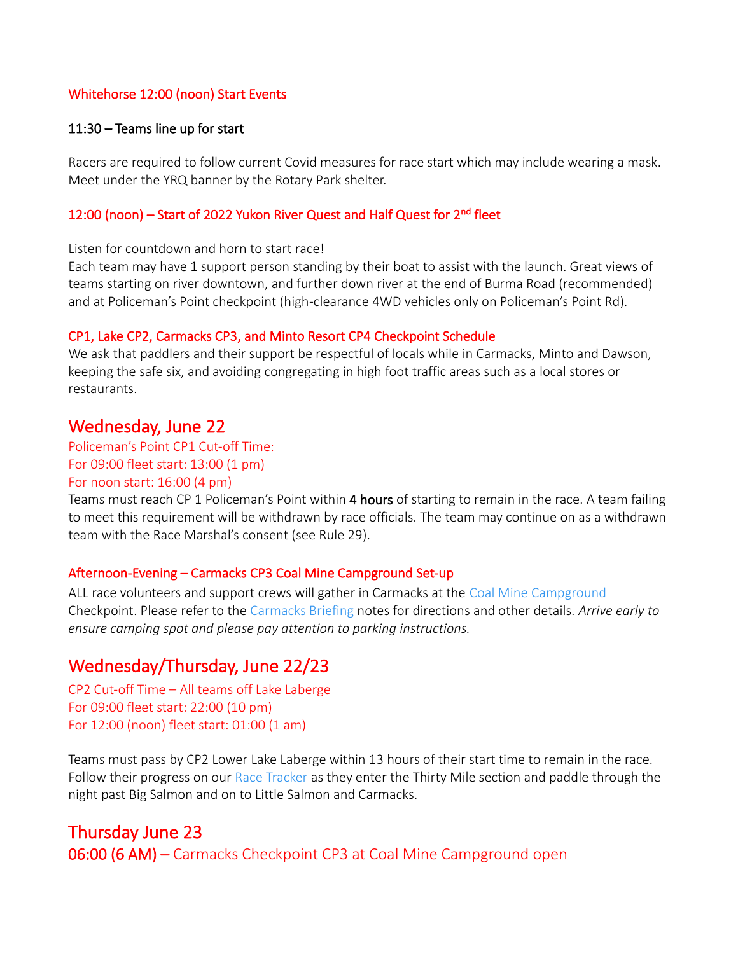#### Whitehorse 12:00 (noon) Start Events

#### 11:30 – Teams line up for start

Racers are required to follow current Covid measures for race start which may include wearing a mask. Meet under the YRQ banner by the Rotary Park shelter.

#### 12:00 (noon) – Start of 2022 Yukon River Quest and Half Quest for 2<sup>nd</sup> fleet

Listen for countdown and horn to start race!

Each team may have 1 support person standing by their boat to assist with the launch. Great views of teams starting on river downtown, and further down river at the end of Burma Road (recommended) and at Policeman's Point checkpoint (high-clearance 4WD vehicles only on Policeman's Point Rd).

#### CP1, Lake CP2, Carmacks CP3, and Minto Resort CP4 Checkpoint Schedule

We ask that paddlers and their support be respectful of locals while in Carmacks, Minto and Dawson, keeping the safe six, and avoiding congregating in high foot traffic areas such as a local stores or restaurants.

### Wednesday, June 22

#### Policeman's Point CP1 Cut-off Time:

#### For 09:00 fleet start: 13:00 (1 pm)

#### For noon start: 16:00 (4 pm)

Teams must reach CP 1 Policeman's Point within 4 hours of starting to remain in the race. A team failing to meet this requirement will be withdrawn by race officials. The team may continue on as a withdrawn team with the Race Marshal's consent (see Rule 29).

#### Afternoon-Evening – Carmacks CP3 Coal Mine Campground Set-up

ALL race volunteers and support crews will gather in Carmacks at the [Coal Mine Campground](https://www.yukonriverquest.com/wp-content/uploads/2022/04/Coal-Mine-Briefing-Notes-Apr-1-2022-FINAL.pdf) Checkpoint. Please refer to the [Carmacks Briefing](https://www.yukonriverquest.com/information-for-racers-support-crews-2/) notes for directions and other details. *Arrive early to ensure camping spot and please pay attention to parking instructions.*

### Wednesday/Thursday, June 22/23

CP2 Cut-off Time – All teams off Lake Laberge For 09:00 fleet start: 22:00 (10 pm) For 12:00 (noon) fleet start: 01:00 (1 am)

Teams must pass by CP2 Lower Lake Laberge within 13 hours of their start time to remain in the race. Follow their progress on our [Race Tracker](https://yukonriverquest.ca/yrq/app/entry7/tracker_results.php?race=18yrq) as they enter the Thirty Mile section and paddle through the night past Big Salmon and on to Little Salmon and Carmacks.

# Thursday June 23 06:00 (6 AM) – Carmacks Checkpoint CP3 at Coal Mine Campground open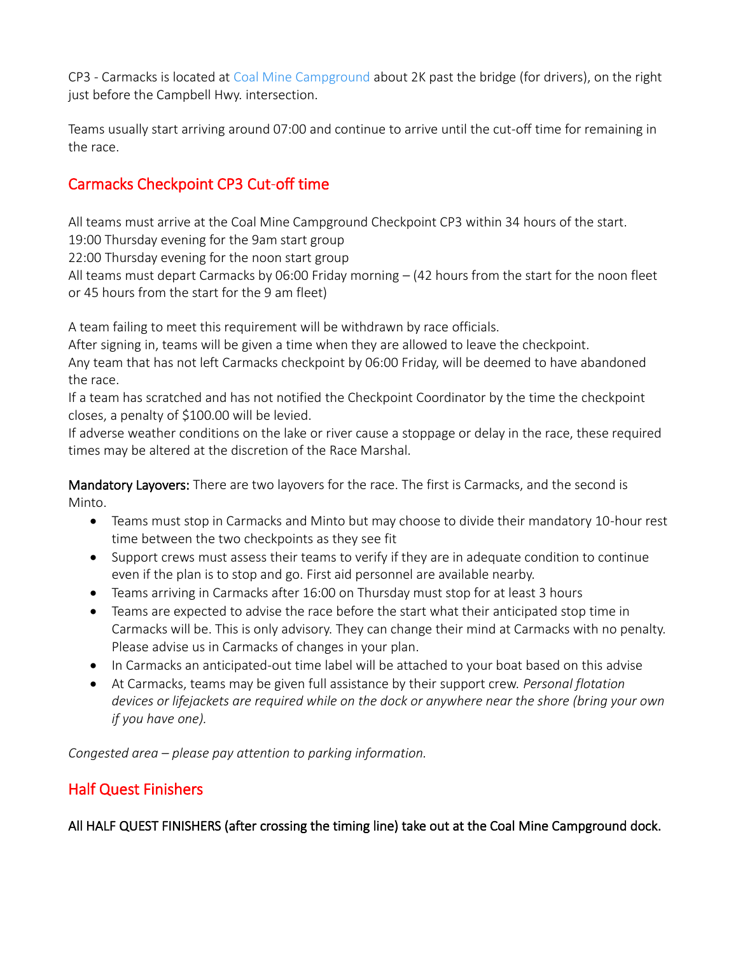CP3 - Carmacks is located at [Coal Mine Campground](http://www.coalminecampground.com/) about 2K past the bridge (for drivers), on the right just before the Campbell Hwy. intersection.

Teams usually start arriving around 07:00 and continue to arrive until the cut-off time for remaining in the race.

### Carmacks Checkpoint CP3 Cut-off time

All teams must arrive at the Coal Mine Campground Checkpoint CP3 within 34 hours of the start.

19:00 Thursday evening for the 9am start group 22:00 Thursday evening for the noon start group

All teams must depart Carmacks by 06:00 Friday morning  $-$  (42 hours from the start for the noon fleet or 45 hours from the start for the 9 am fleet)

A team failing to meet this requirement will be withdrawn by race officials.

After signing in, teams will be given a time when they are allowed to leave the checkpoint. Any team that has not left Carmacks checkpoint by 06:00 Friday, will be deemed to have abandoned the race.

If a team has scratched and has not notified the Checkpoint Coordinator by the time the checkpoint closes, a penalty of \$100.00 will be levied.

If adverse weather conditions on the lake or river cause a stoppage or delay in the race, these required times may be altered at the discretion of the Race Marshal.

Mandatory Layovers: There are two layovers for the race. The first is Carmacks, and the second is Minto.

- Teams must stop in Carmacks and Minto but may choose to divide their mandatory 10-hour rest time between the two checkpoints as they see fit
- Support crews must assess their teams to verify if they are in adequate condition to continue even if the plan is to stop and go. First aid personnel are available nearby.
- Teams arriving in Carmacks after 16:00 on Thursday must stop for at least 3 hours
- Teams are expected to advise the race before the start what their anticipated stop time in Carmacks will be. This is only advisory. They can change their mind at Carmacks with no penalty. Please advise us in Carmacks of changes in your plan.
- In Carmacks an anticipated-out time label will be attached to your boat based on this advise
- At Carmacks, teams may be given full assistance by their support crew. *Personal flotation devices or lifejackets are required while on the dock or anywhere near the shore (bring your own if you have one).*

*Congested area – please pay attention to parking information.*

### Half Quest Finishers

All HALF QUEST FINISHERS (after crossing the timing line) take out at the Coal Mine Campground dock.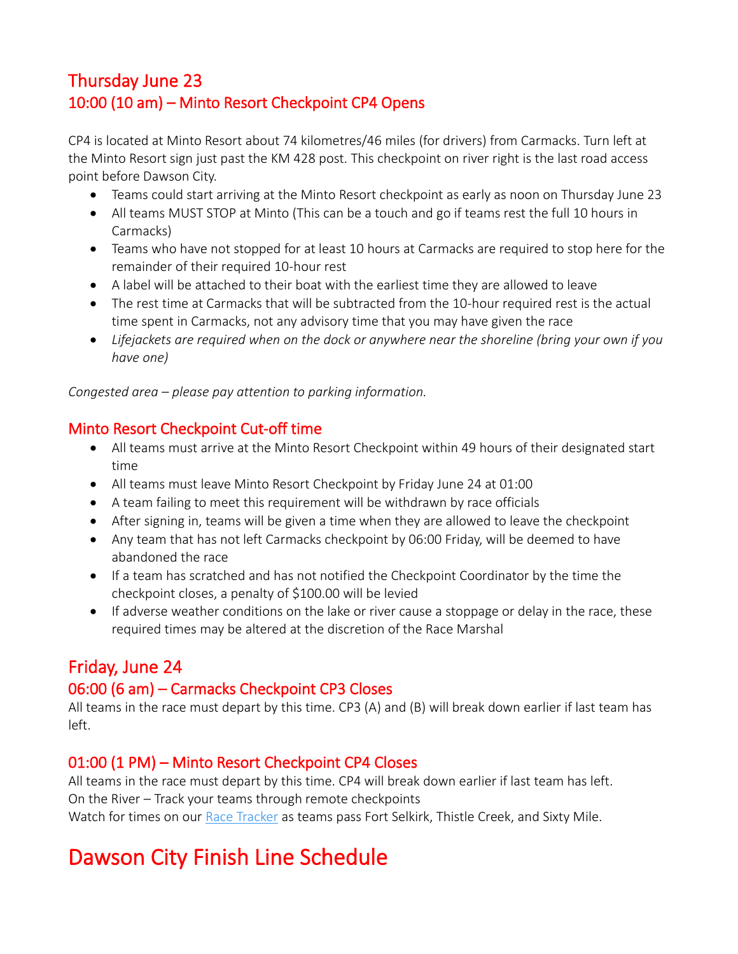# Thursday June 23 10:00 (10 am) – Minto Resort Checkpoint CP4 Opens

CP4 is located at Minto Resort about 74 kilometres/46 miles (for drivers) from Carmacks. Turn left at the Minto Resort sign just past the KM 428 post. This checkpoint on river right is the last road access point before Dawson City.

- Teams could start arriving at the Minto Resort checkpoint as early as noon on Thursday June 23
- All teams MUST STOP at Minto (This can be a touch and go if teams rest the full 10 hours in Carmacks)
- Teams who have not stopped for at least 10 hours at Carmacks are required to stop here for the remainder of their required 10-hour rest
- A label will be attached to their boat with the earliest time they are allowed to leave
- The rest time at Carmacks that will be subtracted from the 10-hour required rest is the actual time spent in Carmacks, not any advisory time that you may have given the race
- *Lifejackets are required when on the dock or anywhere near the shoreline (bring your own if you have one)*

*Congested area – please pay attention to parking information.*

### Minto Resort Checkpoint Cut-off time

- All teams must arrive at the Minto Resort Checkpoint within 49 hours of their designated start time
- All teams must leave Minto Resort Checkpoint by Friday June 24 at 01:00
- A team failing to meet this requirement will be withdrawn by race officials
- After signing in, teams will be given a time when they are allowed to leave the checkpoint
- Any team that has not left Carmacks checkpoint by 06:00 Friday, will be deemed to have abandoned the race
- If a team has scratched and has not notified the Checkpoint Coordinator by the time the checkpoint closes, a penalty of \$100.00 will be levied
- If adverse weather conditions on the lake or river cause a stoppage or delay in the race, these required times may be altered at the discretion of the Race Marshal

# Friday, June 24

### 06:00 (6 am) – Carmacks Checkpoint CP3 Closes

All teams in the race must depart by this time. CP3 (A) and (B) will break down earlier if last team has left.

### 01:00 (1 PM) – Minto Resort Checkpoint CP4 Closes

All teams in the race must depart by this time. CP4 will break down earlier if last team has left. On the River – Track your teams through remote checkpoints Watch for times on our [Race Tracker](https://yukonriverquest.ca/yrq/app/entry7/tracker_results.php?race=18yrq) as teams pass Fort Selkirk, Thistle Creek, and Sixty Mile.

# Dawson City Finish Line Schedule